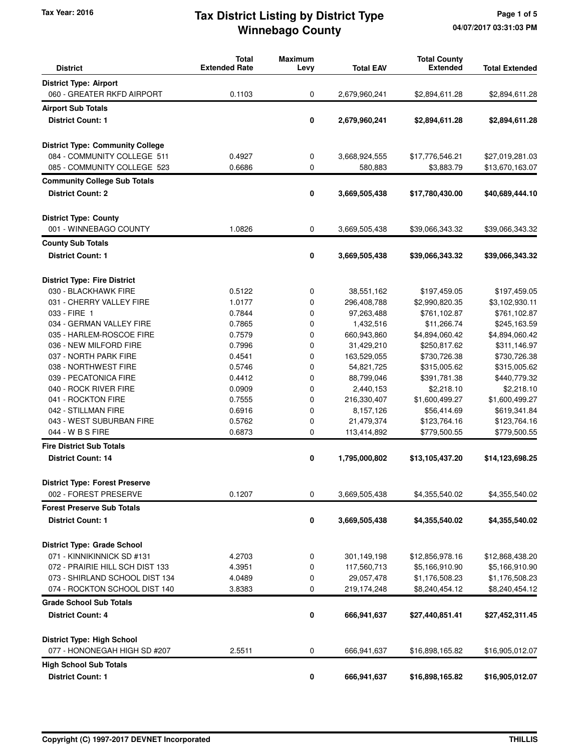# **Winnebago County** Tax Year: 2016 **Tax District Listing by District Type** Page 1 of 5

| <b>District</b>                         | <b>Total</b><br><b>Extended Rate</b> | <b>Maximum</b><br>Levy | <b>Total EAV</b> | <b>Total County</b><br><b>Extended</b> | <b>Total Extended</b> |
|-----------------------------------------|--------------------------------------|------------------------|------------------|----------------------------------------|-----------------------|
| <b>District Type: Airport</b>           |                                      |                        |                  |                                        |                       |
| 060 - GREATER RKFD AIRPORT              | 0.1103                               | 0                      | 2,679,960,241    | \$2,894,611.28                         | \$2,894,611.28        |
| <b>Airport Sub Totals</b>               |                                      |                        |                  |                                        |                       |
| <b>District Count: 1</b>                |                                      | 0                      | 2,679,960,241    | \$2,894,611.28                         | \$2,894,611.28        |
|                                         |                                      |                        |                  |                                        |                       |
| <b>District Type: Community College</b> |                                      |                        |                  |                                        |                       |
| 084 - COMMUNITY COLLEGE 511             | 0.4927                               | 0                      | 3,668,924,555    | \$17,776,546.21                        | \$27,019,281.03       |
| 085 - COMMUNITY COLLEGE 523             | 0.6686                               | 0                      | 580,883          | \$3,883.79                             | \$13,670,163.07       |
| <b>Community College Sub Totals</b>     |                                      |                        |                  |                                        |                       |
| <b>District Count: 2</b>                |                                      | 0                      | 3,669,505,438    | \$17,780,430.00                        | \$40,689,444.10       |
| <b>District Type: County</b>            |                                      |                        |                  |                                        |                       |
| 001 - WINNEBAGO COUNTY                  | 1.0826                               | 0                      | 3,669,505,438    | \$39,066,343.32                        | \$39,066,343.32       |
| <b>County Sub Totals</b>                |                                      |                        |                  |                                        |                       |
| <b>District Count: 1</b>                |                                      | 0                      | 3,669,505,438    | \$39,066,343.32                        | \$39,066,343.32       |
| <b>District Type: Fire District</b>     |                                      |                        |                  |                                        |                       |
| 030 - BLACKHAWK FIRE                    | 0.5122                               | 0                      | 38,551,162       | \$197,459.05                           | \$197,459.05          |
| 031 - CHERRY VALLEY FIRE                | 1.0177                               | 0                      | 296,408,788      | \$2,990,820.35                         | \$3,102,930.11        |
| 033 - FIRE 1                            | 0.7844                               | 0                      | 97,263,488       | \$761,102.87                           | \$761,102.87          |
| 034 - GERMAN VALLEY FIRE                | 0.7865                               | 0                      | 1,432,516        | \$11,266.74                            | \$245,163.59          |
| 035 - HARLEM-ROSCOE FIRE                | 0.7579                               | 0                      | 660,943,860      | \$4,894,060.42                         | \$4,894,060.42        |
| 036 - NEW MILFORD FIRE                  | 0.7996                               | 0                      | 31,429,210       | \$250,817.62                           | \$311,146.97          |
| 037 - NORTH PARK FIRE                   | 0.4541                               | 0                      | 163,529,055      | \$730,726.38                           | \$730,726.38          |
| 038 - NORTHWEST FIRE                    | 0.5746                               | 0                      | 54,821,725       | \$315,005.62                           | \$315,005.62          |
| 039 - PECATONICA FIRE                   | 0.4412                               | 0                      | 88,799,046       | \$391,781.38                           | \$440,779.32          |
| 040 - ROCK RIVER FIRE                   | 0.0909                               | 0                      | 2,440,153        | \$2,218.10                             | \$2,218.10            |
| 041 - ROCKTON FIRE                      | 0.7555                               | 0                      | 216,330,407      | \$1,600,499.27                         | \$1,600,499.27        |
| 042 - STILLMAN FIRE                     | 0.6916                               | 0                      | 8,157,126        | \$56,414.69                            | \$619,341.84          |
| 043 - WEST SUBURBAN FIRE                | 0.5762                               | 0                      | 21,479,374       | \$123,764.16                           | \$123,764.16          |
| 044 - W B S FIRE                        | 0.6873                               | 0                      | 113,414,892      | \$779,500.55                           | \$779,500.55          |
| <b>Fire District Sub Totals</b>         |                                      |                        |                  |                                        |                       |
| <b>District Count: 14</b>               |                                      | 0                      | 1,795,000,802    | \$13,105,437.20                        | \$14,123,698.25       |
| <b>District Type: Forest Preserve</b>   |                                      |                        |                  |                                        |                       |
| 002 - FOREST PRESERVE                   | 0.1207                               | 0                      | 3,669,505,438    | \$4,355,540.02                         | \$4,355,540.02        |
| <b>Forest Preserve Sub Totals</b>       |                                      |                        |                  |                                        |                       |
| <b>District Count: 1</b>                |                                      | 0                      | 3,669,505,438    | \$4,355,540.02                         | \$4,355,540.02        |
| <b>District Type: Grade School</b>      |                                      |                        |                  |                                        |                       |
| 071 - KINNIKINNICK SD #131              | 4.2703                               | 0                      | 301,149,198      | \$12,856,978.16                        | \$12,868,438.20       |
| 072 - PRAIRIE HILL SCH DIST 133         | 4.3951                               | 0                      | 117,560,713      | \$5,166,910.90                         | \$5,166,910.90        |
| 073 - SHIRLAND SCHOOL DIST 134          | 4.0489                               | 0                      | 29,057,478       | \$1,176,508.23                         | \$1,176,508.23        |
| 074 - ROCKTON SCHOOL DIST 140           | 3.8383                               | 0                      | 219,174,248      | \$8,240,454.12                         | \$8,240,454.12        |
| <b>Grade School Sub Totals</b>          |                                      |                        |                  |                                        |                       |
| <b>District Count: 4</b>                |                                      | 0                      | 666,941,637      | \$27,440,851.41                        | \$27,452,311.45       |
| <b>District Type: High School</b>       |                                      |                        |                  |                                        |                       |
| 077 - HONONEGAH HIGH SD #207            | 2.5511                               | 0                      | 666,941,637      | \$16,898,165.82                        | \$16,905,012.07       |
| <b>High School Sub Totals</b>           |                                      |                        |                  |                                        |                       |
| <b>District Count: 1</b>                |                                      | 0                      | 666,941,637      | \$16,898,165.82                        | \$16,905,012.07       |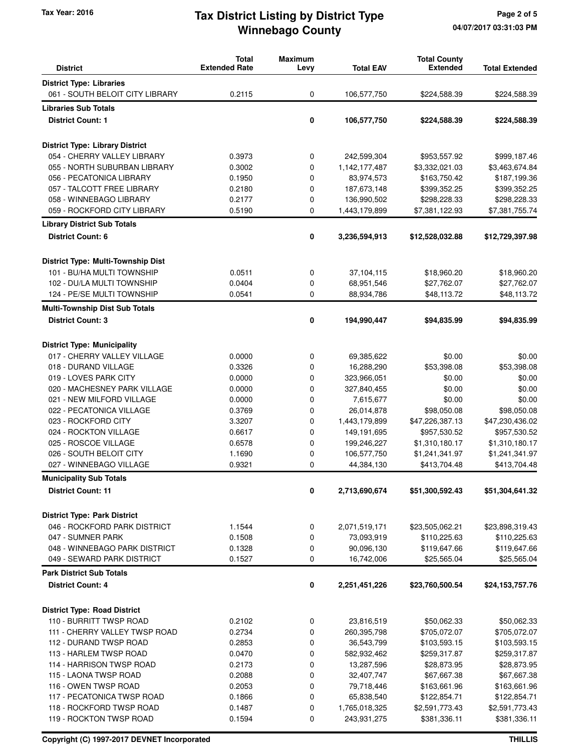## **Winnebago County** Tax Year: 2016 **Tax District Listing by District Type** Page 2 of 5

| <b>District</b>                           | <b>Total</b><br><b>Extended Rate</b> | <b>Maximum</b><br>Levy | <b>Total EAV</b> | <b>Total County</b><br><b>Extended</b> | <b>Total Extended</b> |
|-------------------------------------------|--------------------------------------|------------------------|------------------|----------------------------------------|-----------------------|
| <b>District Type: Libraries</b>           |                                      |                        |                  |                                        |                       |
| 061 - SOUTH BELOIT CITY LIBRARY           | 0.2115                               | 0                      | 106,577,750      | \$224,588.39                           | \$224,588.39          |
| <b>Libraries Sub Totals</b>               |                                      |                        |                  |                                        |                       |
| <b>District Count: 1</b>                  |                                      | 0                      | 106,577,750      | \$224,588.39                           | \$224,588.39          |
|                                           |                                      |                        |                  |                                        |                       |
| <b>District Type: Library District</b>    |                                      |                        |                  |                                        |                       |
| 054 - CHERRY VALLEY LIBRARY               | 0.3973                               | 0                      | 242,599,304      | \$953,557.92                           | \$999,187.46          |
| 055 - NORTH SUBURBAN LIBRARY              | 0.3002                               | 0                      | 1,142,177,487    | \$3,332,021.03                         | \$3,463,674.84        |
| 056 - PECATONICA LIBRARY                  | 0.1950                               | 0                      | 83,974,573       | \$163,750.42                           | \$187,199.36          |
| 057 - TALCOTT FREE LIBRARY                | 0.2180                               | 0                      | 187,673,148      | \$399,352.25                           | \$399,352.25          |
| 058 - WINNEBAGO LIBRARY                   | 0.2177                               | 0                      | 136,990,502      | \$298,228.33                           | \$298,228.33          |
| 059 - ROCKFORD CITY LIBRARY               | 0.5190                               | 0                      | 1,443,179,899    | \$7,381,122.93                         | \$7,381,755.74        |
| <b>Library District Sub Totals</b>        |                                      |                        |                  |                                        |                       |
| <b>District Count: 6</b>                  |                                      | 0                      | 3,236,594,913    | \$12,528,032.88                        | \$12,729,397.98       |
| <b>District Type: Multi-Township Dist</b> |                                      |                        |                  |                                        |                       |
| 101 - BU/HA MULTI TOWNSHIP                | 0.0511                               | 0                      | 37,104,115       | \$18,960.20                            | \$18,960.20           |
| 102 - DU/LA MULTI TOWNSHIP                | 0.0404                               | 0                      | 68,951,546       | \$27,762.07                            | \$27,762.07           |
| 124 - PE/SE MULTI TOWNSHIP                | 0.0541                               | 0                      | 88,934,786       | \$48,113.72                            | \$48,113.72           |
| <b>Multi-Township Dist Sub Totals</b>     |                                      |                        |                  |                                        |                       |
| <b>District Count: 3</b>                  |                                      | 0                      | 194,990,447      | \$94,835.99                            | \$94,835.99           |
|                                           |                                      |                        |                  |                                        |                       |
| <b>District Type: Municipality</b>        |                                      |                        |                  |                                        |                       |
| 017 - CHERRY VALLEY VILLAGE               | 0.0000                               | 0                      | 69,385,622       | \$0.00                                 | \$0.00                |
| 018 - DURAND VILLAGE                      | 0.3326                               | 0                      | 16,288,290       | \$53,398.08                            | \$53,398.08           |
| 019 - LOVES PARK CITY                     | 0.0000                               | 0                      | 323,966,051      | \$0.00                                 | \$0.00                |
| 020 - MACHESNEY PARK VILLAGE              | 0.0000                               | 0                      | 327,840,455      | \$0.00                                 | \$0.00                |
| 021 - NEW MILFORD VILLAGE                 | 0.0000                               | 0                      | 7,615,677        | \$0.00                                 | \$0.00                |
| 022 - PECATONICA VILLAGE                  | 0.3769                               | 0                      | 26,014,878       | \$98,050.08                            | \$98,050.08           |
| 023 - ROCKFORD CITY                       | 3.3207                               | 0                      | 1,443,179,899    | \$47,226,387.13                        | \$47,230,436.02       |
| 024 - ROCKTON VILLAGE                     | 0.6617                               | 0                      | 149,191,695      | \$957,530.52                           | \$957,530.52          |
| 025 - ROSCOE VILLAGE                      | 0.6578                               | 0                      | 199,246,227      | \$1,310,180.17                         | \$1,310,180.17        |
| 026 - SOUTH BELOIT CITY                   | 1.1690                               | 0                      | 106,577,750      | \$1,241,341.97                         | \$1,241,341.97        |
| 027 - WINNEBAGO VILLAGE                   | 0.9321                               | 0                      | 44,384,130       | \$413,704.48                           | \$413,704.48          |
| <b>Municipality Sub Totals</b>            |                                      |                        |                  |                                        |                       |
| <b>District Count: 11</b>                 |                                      | 0                      | 2,713,690,674    | \$51,300,592.43                        | \$51,304,641.32       |
| <b>District Type: Park District</b>       |                                      |                        |                  |                                        |                       |
| 046 - ROCKFORD PARK DISTRICT              | 1.1544                               | 0                      | 2,071,519,171    | \$23,505,062.21                        | \$23,898,319.43       |
| 047 - SUMNER PARK                         | 0.1508                               | 0                      | 73,093,919       | \$110,225.63                           | \$110,225.63          |
| 048 - WINNEBAGO PARK DISTRICT             | 0.1328                               | 0                      | 90,096,130       | \$119,647.66                           | \$119,647.66          |
| 049 - SEWARD PARK DISTRICT                | 0.1527                               | 0                      | 16,742,006       | \$25,565.04                            | \$25,565.04           |
| <b>Park District Sub Totals</b>           |                                      |                        |                  |                                        |                       |
| <b>District Count: 4</b>                  |                                      | 0                      | 2,251,451,226    | \$23,760,500.54                        | \$24,153,757.76       |
| <b>District Type: Road District</b>       |                                      |                        |                  |                                        |                       |
| 110 - BURRITT TWSP ROAD                   | 0.2102                               | 0                      | 23,816,519       | \$50,062.33                            | \$50,062.33           |
| 111 - CHERRY VALLEY TWSP ROAD             | 0.2734                               | 0                      | 260,395,798      | \$705,072.07                           | \$705,072.07          |
| 112 - DURAND TWSP ROAD                    | 0.2853                               | 0                      | 36,543,799       | \$103,593.15                           | \$103,593.15          |
| 113 - HARLEM TWSP ROAD                    | 0.0470                               | 0                      | 582,932,462      | \$259,317.87                           | \$259,317.87          |
| 114 - HARRISON TWSP ROAD                  | 0.2173                               | 0                      | 13,287,596       | \$28,873.95                            | \$28,873.95           |
| 115 - LAONA TWSP ROAD                     | 0.2088                               | 0                      | 32,407,747       | \$67,667.38                            | \$67,667.38           |
| 116 - OWEN TWSP ROAD                      | 0.2053                               | 0                      | 79,718,446       | \$163,661.96                           | \$163,661.96          |
| 117 - PECATONICA TWSP ROAD                | 0.1866                               | 0                      | 65,838,540       | \$122,854.71                           | \$122,854.71          |
| 118 - ROCKFORD TWSP ROAD                  | 0.1487                               | 0                      | 1,765,018,325    | \$2,591,773.43                         | \$2,591,773.43        |
| 119 - ROCKTON TWSP ROAD                   | 0.1594                               | 0                      | 243,931,275      | \$381,336.11                           | \$381,336.11          |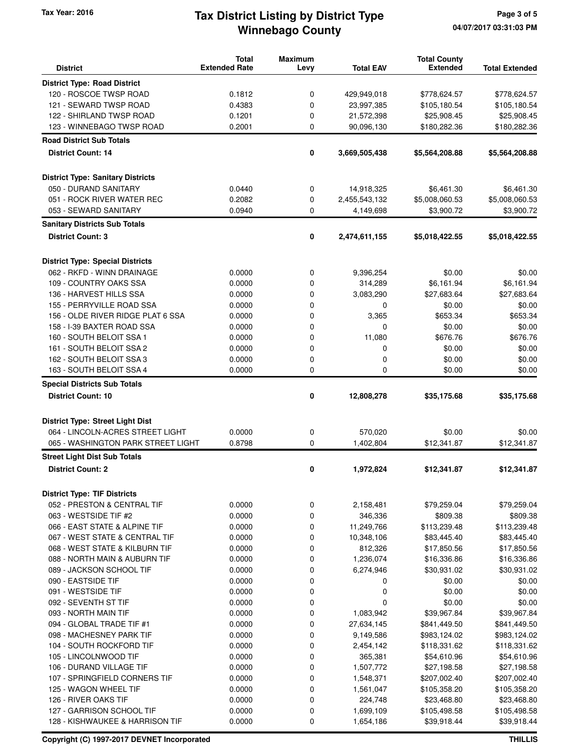# **Winnebago County** Tax Year: 2016 **Tax District Listing by District Type** Page 3 of 5

| <b>District</b>                          | <b>Total</b><br><b>Extended Rate</b> | <b>Maximum</b><br>Levy | <b>Total EAV</b> | <b>Total County</b><br><b>Extended</b> | <b>Total Extended</b> |
|------------------------------------------|--------------------------------------|------------------------|------------------|----------------------------------------|-----------------------|
| <b>District Type: Road District</b>      |                                      |                        |                  |                                        |                       |
| 120 - ROSCOE TWSP ROAD                   | 0.1812                               | 0                      | 429,949,018      | \$778,624.57                           | \$778,624.57          |
| 121 - SEWARD TWSP ROAD                   | 0.4383                               | 0                      | 23,997,385       | \$105,180.54                           | \$105,180.54          |
| 122 - SHIRLAND TWSP ROAD                 | 0.1201                               | 0                      | 21,572,398       | \$25,908.45                            | \$25,908.45           |
| 123 - WINNEBAGO TWSP ROAD                | 0.2001                               | $\mathbf 0$            | 90,096,130       | \$180,282.36                           | \$180,282.36          |
| <b>Road District Sub Totals</b>          |                                      |                        |                  |                                        |                       |
| <b>District Count: 14</b>                |                                      | 0                      | 3,669,505,438    | \$5,564,208.88                         | \$5,564,208.88        |
|                                          |                                      |                        |                  |                                        |                       |
| <b>District Type: Sanitary Districts</b> |                                      |                        |                  |                                        |                       |
| 050 - DURAND SANITARY                    | 0.0440                               | 0                      | 14,918,325       | \$6,461.30                             | \$6,461.30            |
| 051 - ROCK RIVER WATER REC               | 0.2082                               | 0                      | 2,455,543,132    | \$5,008,060.53                         | \$5,008,060.53        |
| 053 - SEWARD SANITARY                    | 0.0940                               | 0                      | 4,149,698        | \$3,900.72                             | \$3,900.72            |
| <b>Sanitary Districts Sub Totals</b>     |                                      |                        |                  |                                        |                       |
| <b>District Count: 3</b>                 |                                      | 0                      | 2,474,611,155    | \$5,018,422.55                         | \$5,018,422.55        |
|                                          |                                      |                        |                  |                                        |                       |
| <b>District Type: Special Districts</b>  |                                      |                        |                  |                                        |                       |
| 062 - RKFD - WINN DRAINAGE               | 0.0000                               | 0                      | 9,396,254        | \$0.00                                 | \$0.00                |
| 109 - COUNTRY OAKS SSA                   | 0.0000                               | 0                      | 314,289          | \$6,161.94                             | \$6,161.94            |
| 136 - HARVEST HILLS SSA                  | 0.0000                               | 0                      | 3,083,290        | \$27,683.64                            | \$27,683.64           |
| 155 - PERRYVILLE ROAD SSA                | 0.0000                               | 0                      | 0                | \$0.00                                 | \$0.00                |
| 156 - OLDE RIVER RIDGE PLAT 6 SSA        | 0.0000                               | 0                      | 3,365            | \$653.34                               | \$653.34              |
| 158 - I-39 BAXTER ROAD SSA               | 0.0000                               | 0                      | 0                | \$0.00                                 | \$0.00                |
| 160 - SOUTH BELOIT SSA 1                 | 0.0000                               | 0                      | 11,080           | \$676.76                               | \$676.76              |
| 161 - SOUTH BELOIT SSA 2                 | 0.0000                               | 0                      | 0                | \$0.00                                 | \$0.00                |
| 162 - SOUTH BELOIT SSA 3                 | 0.0000                               | 0                      | 0                | \$0.00                                 | \$0.00                |
| 163 - SOUTH BELOIT SSA 4                 | 0.0000                               | 0                      | 0                | \$0.00                                 | \$0.00                |
|                                          |                                      |                        |                  |                                        |                       |
| <b>Special Districts Sub Totals</b>      |                                      |                        |                  |                                        |                       |
| <b>District Count: 10</b>                |                                      | 0                      | 12,808,278       | \$35,175.68                            | \$35,175.68           |
|                                          |                                      |                        |                  |                                        |                       |
| <b>District Type: Street Light Dist</b>  |                                      |                        |                  |                                        |                       |
| 064 - LINCOLN-ACRES STREET LIGHT         | 0.0000                               | 0                      | 570,020          | \$0.00                                 | \$0.00                |
| 065 - WASHINGTON PARK STREET LIGHT       | 0.8798                               | $\mathbf 0$            | 1,402,804        | \$12,341.87                            | \$12,341.87           |
| <b>Street Light Dist Sub Totals</b>      |                                      |                        |                  |                                        |                       |
| <b>District Count: 2</b>                 |                                      | 0                      | 1,972,824        | \$12,341.87                            | \$12,341.87           |
| <b>District Type: TIF Districts</b>      |                                      |                        |                  |                                        |                       |
| 052 - PRESTON & CENTRAL TIF              | 0.0000                               | 0                      | 2,158,481        | \$79,259.04                            | \$79,259.04           |
| 063 - WESTSIDE TIF #2                    | 0.0000                               | 0                      | 346,336          | \$809.38                               | \$809.38              |
| 066 - EAST STATE & ALPINE TIF            | 0.0000                               | 0                      | 11,249,766       | \$113,239.48                           | \$113,239.48          |
| 067 - WEST STATE & CENTRAL TIF           | 0.0000                               | 0                      | 10,348,106       | \$83,445.40                            | \$83,445.40           |
| 068 - WEST STATE & KILBURN TIF           | 0.0000                               | 0                      | 812,326          | \$17,850.56                            | \$17,850.56           |
| 088 - NORTH MAIN & AUBURN TIF            | 0.0000                               | 0                      | 1,236,074        | \$16,336.86                            | \$16,336.86           |
| 089 - JACKSON SCHOOL TIF                 | 0.0000                               | 0                      | 6,274,946        | \$30,931.02                            | \$30,931.02           |
| 090 - EASTSIDE TIF                       | 0.0000                               | 0                      |                  | \$0.00                                 | \$0.00                |
|                                          |                                      |                        | 0<br>0           |                                        |                       |
| 091 - WESTSIDE TIF                       | 0.0000                               | 0                      |                  | \$0.00                                 | \$0.00                |
| 092 - SEVENTH ST TIF                     | 0.0000                               | 0                      | 0                | \$0.00                                 | \$0.00                |
| 093 - NORTH MAIN TIF                     | 0.0000                               | 0                      | 1,083,942        | \$39,967.84                            | \$39,967.84           |
| 094 - GLOBAL TRADE TIF #1                | 0.0000                               | 0                      | 27,634,145       | \$841,449.50                           | \$841,449.50          |
| 098 - MACHESNEY PARK TIF                 | 0.0000                               | 0                      | 9,149,586        | \$983,124.02                           | \$983,124.02          |
| 104 - SOUTH ROCKFORD TIF                 | 0.0000                               | 0                      | 2,454,142        | \$118,331.62                           | \$118,331.62          |
| 105 - LINCOLNWOOD TIF                    | 0.0000                               | 0                      | 365,381          | \$54,610.96                            | \$54,610.96           |
| 106 - DURAND VILLAGE TIF                 | 0.0000                               | 0                      | 1,507,772        | \$27,198.58                            | \$27,198.58           |
| 107 - SPRINGFIELD CORNERS TIF            | 0.0000                               | 0                      | 1,548,371        | \$207,002.40                           | \$207,002.40          |
| 125 - WAGON WHEEL TIF                    | 0.0000                               | 0                      | 1,561,047        | \$105,358.20                           | \$105,358.20          |
| 126 - RIVER OAKS TIF                     | 0.0000                               | 0                      | 224,748          | \$23,468.80                            | \$23,468.80           |
| 127 - GARRISON SCHOOL TIF                | 0.0000                               | 0                      | 1,699,109        | \$105,498.58                           | \$105,498.58          |
| 128 - KISHWAUKEE & HARRISON TIF          | 0.0000                               | 0                      | 1,654,186        | \$39,918.44                            | \$39,918.44           |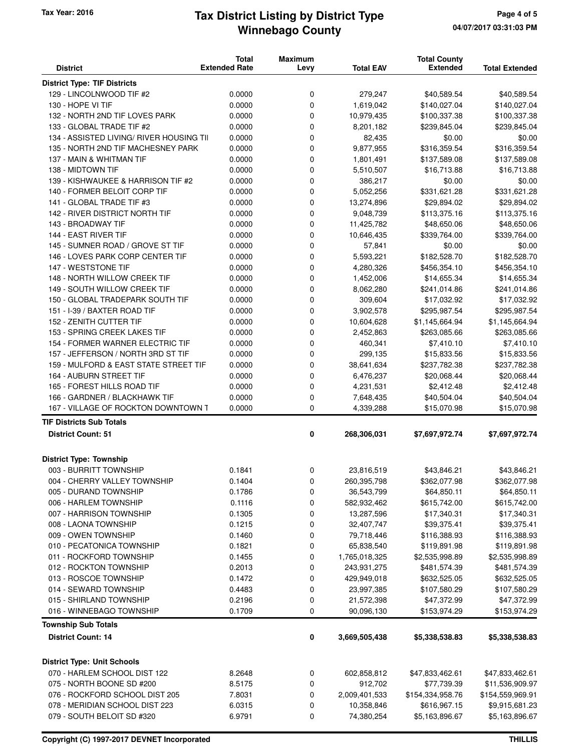#### **Winnebago County Tax Year: 2016 Tax District Listing by District Type Page 4 of 5**

| <b>District</b>                          | <b>Total</b><br><b>Extended Rate</b> | <b>Maximum</b><br>Levy | <b>Total EAV</b> | <b>Total County</b><br><b>Extended</b> | <b>Total Extended</b> |
|------------------------------------------|--------------------------------------|------------------------|------------------|----------------------------------------|-----------------------|
| <b>District Type: TIF Districts</b>      |                                      |                        |                  |                                        |                       |
| 129 - LINCOLNWOOD TIF #2                 | 0.0000                               | 0                      | 279,247          | \$40,589.54                            | \$40,589.54           |
| 130 - HOPE VI TIF                        | 0.0000                               | 0                      | 1,619,042        | \$140,027.04                           | \$140,027.04          |
| 132 - NORTH 2ND TIF LOVES PARK           | 0.0000                               | 0                      | 10,979,435       | \$100,337.38                           | \$100,337.38          |
| 133 - GLOBAL TRADE TIF #2                | 0.0000                               | 0                      | 8,201,182        | \$239,845.04                           | \$239,845.04          |
| 134 - ASSISTED LIVING/ RIVER HOUSING TII | 0.0000                               | 0                      | 82,435           | \$0.00                                 | \$0.00                |
| 135 - NORTH 2ND TIF MACHESNEY PARK       | 0.0000                               | 0                      | 9,877,955        | \$316,359.54                           | \$316,359.54          |
| 137 - MAIN & WHITMAN TIF                 | 0.0000                               | 0                      | 1,801,491        | \$137,589.08                           | \$137,589.08          |
| 138 - MIDTOWN TIF                        | 0.0000                               | 0                      | 5,510,507        | \$16,713.88                            | \$16,713.88           |
| 139 - KISHWAUKEE & HARRISON TIF #2       | 0.0000                               | 0                      | 386,217          | \$0.00                                 | \$0.00                |
| 140 - FORMER BELOIT CORP TIF             | 0.0000                               | 0                      | 5,052,256        | \$331,621.28                           | \$331,621.28          |
| 141 - GLOBAL TRADE TIF #3                | 0.0000                               | 0                      | 13,274,896       | \$29,894.02                            | \$29,894.02           |
| 142 - RIVER DISTRICT NORTH TIF           | 0.0000                               | 0                      | 9,048,739        | \$113,375.16                           | \$113,375.16          |
| 143 - BROADWAY TIF                       | 0.0000                               | 0                      | 11,425,782       | \$48,650.06                            | \$48,650.06           |
| 144 - EAST RIVER TIF                     | 0.0000                               | 0                      | 10,646,435       | \$339,764.00                           | \$339,764.00          |
| 145 - SUMNER ROAD / GROVE ST TIF         | 0.0000                               | 0                      | 57,841           | \$0.00                                 | \$0.00                |
| 146 - LOVES PARK CORP CENTER TIF         | 0.0000                               | 0                      | 5,593,221        | \$182,528.70                           | \$182,528.70          |
| 147 - WESTSTONE TIF                      | 0.0000                               | 0                      | 4,280,326        | \$456,354.10                           | \$456,354.10          |
| 148 - NORTH WILLOW CREEK TIF             | 0.0000                               | 0                      | 1,452,006        | \$14,655.34                            | \$14,655.34           |
| 149 - SOUTH WILLOW CREEK TIF             | 0.0000                               | 0                      | 8,062,280        | \$241,014.86                           | \$241,014.86          |
| 150 - GLOBAL TRADEPARK SOUTH TIF         | 0.0000                               | 0                      | 309,604          | \$17,032.92                            | \$17,032.92           |
| 151 - I-39 / BAXTER ROAD TIF             | 0.0000                               | 0                      | 3,902,578        | \$295,987.54                           | \$295,987.54          |
| 152 - ZENITH CUTTER TIF                  | 0.0000                               | 0                      | 10,604,628       | \$1,145,664.94                         | \$1,145,664.94        |
| 153 - SPRING CREEK LAKES TIF             | 0.0000                               | 0                      | 2,452,863        | \$263,085.66                           | \$263,085.66          |
| 154 - FORMER WARNER ELECTRIC TIF         | 0.0000                               | 0                      | 460,341          | \$7,410.10                             | \$7,410.10            |
| 157 - JEFFERSON / NORTH 3RD ST TIF       | 0.0000                               | 0                      | 299,135          | \$15,833.56                            | \$15,833.56           |
| 159 - MULFORD & EAST STATE STREET TIF    | 0.0000                               | 0                      | 38,641,634       | \$237,782.38                           | \$237,782.38          |
| 164 - AUBURN STREET TIF                  | 0.0000                               | 0                      | 6,476,237        | \$20,068.44                            | \$20,068.44           |
| 165 - FOREST HILLS ROAD TIF              | 0.0000                               | 0                      | 4,231,531        | \$2,412.48                             | \$2,412.48            |
| 166 - GARDNER / BLACKHAWK TIF            | 0.0000                               | 0                      | 7,648,435        | \$40,504.04                            | \$40,504.04           |
| 167 - VILLAGE OF ROCKTON DOWNTOWN T      | 0.0000                               | $\mathbf 0$            | 4,339,288        | \$15,070.98                            | \$15,070.98           |
| <b>TIF Districts Sub Totals</b>          |                                      |                        |                  |                                        |                       |
| <b>District Count: 51</b>                |                                      | 0                      | 268,306,031      | \$7,697,972.74                         | \$7,697,972.74        |
| <b>District Type: Township</b>           |                                      |                        |                  |                                        |                       |
| 003 - BURRITT TOWNSHIP                   | 0.1841                               | 0                      | 23,816,519       | \$43,846.21                            | \$43,846.21           |
| 004 - CHERRY VALLEY TOWNSHIP             | 0.1404                               | 0                      | 260,395,798      | \$362,077.98                           | \$362,077.98          |
| 005 - DURAND TOWNSHIP                    | 0.1786                               | 0                      | 36,543,799       | \$64,850.11                            | \$64,850.11           |
| 006 - HARLEM TOWNSHIP                    | 0.1116                               | 0                      | 582,932,462      | \$615,742.00                           | \$615,742.00          |
| 007 - HARRISON TOWNSHIP                  | 0.1305                               | 0                      | 13,287,596       | \$17,340.31                            | \$17,340.31           |
| 008 - LAONA TOWNSHIP                     | 0.1215                               | 0                      | 32,407,747       | \$39,375.41                            | \$39,375.41           |
| 009 - OWEN TOWNSHIP                      | 0.1460                               | 0                      | 79,718,446       | \$116,388.93                           | \$116,388.93          |
| 010 - PECATONICA TOWNSHIP                | 0.1821                               | 0                      | 65,838,540       | \$119,891.98                           | \$119,891.98          |
| 011 - ROCKFORD TOWNSHIP                  | 0.1455                               | 0                      | 1,765,018,325    | \$2,535,998.89                         | \$2,535,998.89        |
| 012 - ROCKTON TOWNSHIP                   | 0.2013                               | 0                      | 243,931,275      | \$481,574.39                           | \$481,574.39          |
| 013 - ROSCOE TOWNSHIP                    | 0.1472                               | 0                      | 429,949,018      | \$632,525.05                           | \$632,525.05          |
| 014 - SEWARD TOWNSHIP                    | 0.4483                               | 0                      | 23,997,385       | \$107,580.29                           | \$107,580.29          |
| 015 - SHIRLAND TOWNSHIP                  | 0.2196                               | 0                      | 21,572,398       | \$47,372.99                            | \$47,372.99           |
| 016 - WINNEBAGO TOWNSHIP                 | 0.1709                               | 0                      | 90,096,130       | \$153,974.29                           | \$153,974.29          |
| <b>Township Sub Totals</b>               |                                      |                        |                  |                                        |                       |
| <b>District Count: 14</b>                |                                      | 0                      | 3,669,505,438    | \$5,338,538.83                         | \$5,338,538.83        |
| <b>District Type: Unit Schools</b>       |                                      |                        |                  |                                        |                       |
| 070 - HARLEM SCHOOL DIST 122             | 8.2648                               | 0                      | 602,858,812      | \$47,833,462.61                        | \$47,833,462.61       |
| 075 - NORTH BOONE SD #200                | 8.5175                               | 0                      | 912,702          | \$77,739.39                            | \$11,536,909.97       |
| 076 - ROCKFORD SCHOOL DIST 205           | 7.8031                               | 0                      | 2,009,401,533    | \$154,334,958.76                       | \$154,559,969.91      |
| 078 - MERIDIAN SCHOOL DIST 223           | 6.0315                               | 0                      | 10,358,846       | \$616,967.15                           | \$9,915,681.23        |
| 079 - SOUTH BELOIT SD #320               | 6.9791                               | 0                      | 74,380,254       | \$5,163,896.67                         | \$5,163,896.67        |